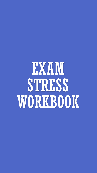# EXAM STRESS WORKBOOK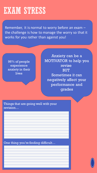# EXAM STRESS

Remember, it is normal to worry before an exam – the challenge is how to manage the worry so that it works for you rather than against you!

96% of people experience anxiety in their lives

Anxiety can be a MOTIVATOR to help you revise **BUT** Sometimes it can negatively affect your performance and grades

Things that are going well with your revision…

One thing you're finding difficult…

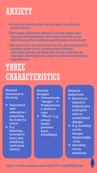# ANXIETY

- ☛A normal emotion that can be used to enhance performance
- ☛Becomes a problem when it is more severe and frequent and interferes with everyday life, it can affect social life, academic performance and mood
- ☛No one factor is responsible for the development of anxiety, rather it is a combination of things including: genes, adverse life events, learning by example, learning from others reactions and coping experiences

# THREE CHARACTERISTICS

#### Physical sensations in the body

- ☛ Associated with adrenaline – preparing the body for action
- ☛ E.g. Sweating, increase in heart rate, trembling (and many others)

Anxious thoughts ☛ Overestimate "danger" → Underestimat e ability to cope ☛ "Worry" e.g. school, health, personal harm, friendships

Anxious behaviour ☛ Behaviour aimed at helping you anticipate and/or avoid future danger

- ☛ E.g. Looking out for danger (hypervigila -nce)
- ☛ Avoiding worry situations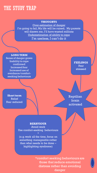# THE STUDY TRAP

#### **THOUGHTS**

Over-estimation of danger I'm going to fail, My life will be ruined, My parents will disown me, I'll have wasted millions Underestimation of ability to cope I'm useless, I can't do it

**LONG TERM** Sense of danger grows Inability to cope confirmed Increased fear Increased use of avoidance/comfortseeking behaviours

**Short term**  Relief Fear reduced **FEELINGS** Fear stressed

Reptilian brain activated

#### **BEHAVIOUR**

Avoid work Use comfort-seeking behaviours \*

(e.g. work all the time, focus on something manageable rather than what needs to be done – highlighting syndrome)

> \*comfort seeking behaviours are those that reduce emotional distress rather than avoiding danger

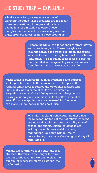# THE STUDY TRAP – EXPLAINED

☛In the study trap, we experience lots of worrying thoughts. These thoughts are the result of over-estimations of danger and underestimations of our ability to cope. These thoughts can be fueled by a sense of pressure, either from ourselves or from those around us.

> ☛These thoughts lead to feelings of stress, worry, and sometimes panic. These thoughts and feelings activate the threat system in our brains, which is located in the reptilian part of our brains (amygdala). The reptilian brain is an old part of the brain that is designed to protect ourselves from threat in the quickest way possible.

☛This leads to behaviours such as avoidance and comfortseeking behaviours. Both behaviours are attempts at the reptilian brain level to reduce the emotional distress and this usually works in the short term. For example, forgetting about work and doing something else, such as playing a video-game can make us feel better in the short term. Equally, engaging in a comfort-seeking behaviour can make us feel better in the short term.

> ☛Comfort seeking behaviours are those that make us feel better but are not rationally sound strategies that will improve our ability to work or take our exams. Examples of these are writing perfectly neat revision notes, highlighting for hours without really concentrating on what we're doing, working all night etc etc.

☛In the short term we feel better and less stressed. However, in the longer term we are not productive and we get no closer to our aim of successful study, so we fuel the cycle further.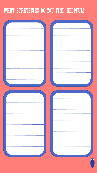# WHAT STRATEGIES DO YOU FIND HELPFUL?

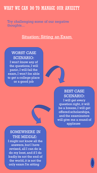## WHAT WE CAN DO TO MANAGE OUR ANXIETY

Try challenging some of our negative thoughts...

#### **Situation: Sitting an Exam**

### WORST CASE SCENARIO:

I won't know any of the questions, I will panic, I will fail the exam, I won't be able to get a college place or a good job



#### SOMEWHERE IN THE MIDDLE:

I might not know all the answers, but I have revised, all I can do is do my best, and if I do badly its not the end of the world, it is not the only exam I'm sitting

### BEST CASE SCENARIO:

I will get every question right, it will be a breeze, I will get offered scholarships, and the examinators will give me a round of applause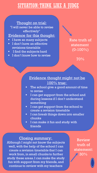# SITUATION: THINK LIKE A JUDGE

Thought on trial: "I will never be able to revise effectively"

#### Evidence for this thought:

- I have so many subjects
- I don't have an effective revisions timetable
- I find the subjects hard
- I don't know how to revise

Rate truth of statement  $(0-100\%)$ 

70%

#### Evidence thought might not be 100% true:

- **•** The school give a good amount of time to revise
- I can get support from the school and during lessons if I don't understand something
- I can get support from the school to create a revision timetable
- I can break things down into smaller chunks
- **E** I can make it fun and study with friends

#### Closing summary:

Although I might not know the subjects well, with the help of the school I can create a revision timetable that I can work from, in small chunks to further study these areas. I can make the study fun with support from my friends, and continue to review with my teachers

Review truth of statement: 30%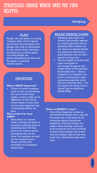## STRATEGIES: CHOOSE WHICH ONES YOU FIND HELPFUL

#### Studying

#### PLAN

People who are better at solving complex tasks, tend to spend much more time planning, than people who rush in. Remember, it's the rational brain that does the planning, so what's going on is that people are giving themselves the time and the space to use their rational brains....

#### PRIORITISE

#### **What is MOST important?**

There's no point investing loads of time on something that is not worth many marks, or won't make much difference to the overall whole. Need to know what are the most important bits of something before we start.

#### **What needs to be done FIRST?**

Often there is a natural order to things and there is no point in starting work on something that will then have to be undone before something else can be done. For example we don't put the windows into a house until the end, otherwise we'll probably break them.

#### BREAK THINGS DOWN

- **Breaking tasks down into** smaller and smaller aspects is a really important part of planning. This is where we are using our rational brains. It is important that this is a quick process, that we don't spend too long on it.
- Can be helpful to do this with a pen and paper to encourage the speed and rough nature of this process. Encourage mess – using a computer, for example, can lead to it becoming a timeconsuming exercise which becomes pretend work – we feel better for doing it but it doesn't get us anywhere, STUDY TRAP.

#### **Where is EASIEST to start?**

One of the things that invites an overwhelmed feeling and a slip into the study trap is the sense of not having got going. Sometimes beginning with easy things can reduce these feelings and once we're going we can move forward. At other times people like to start with the hardest tasks so that they know it is a downward slope from here.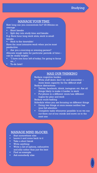#### MANAGE YOUR TIME

How long can you concentrate for? 20-30mins on average

- Short breaks
- Split day into study time and breaks

E.g. Have hour long work slots, work in small breaks

■ Stick to the timetable!

Have the most intensive work when you're most productive

Are you a morning or evening person?

Allocate rough tasks for particular periods of time – can be really helpful

- "I have one hour left of today; I'm going to focus on..."
- To-do lists!!

#### MAX OUR THINKING

Reduce cognitive burden

- Write stuff down don't try and remember more brain capacity for the difficult stuff Reduce distractions
- Twitter, facebook, tiktok, instagram etc. Are all things likely to make it harder to work
- Put phone in a different room/use different logins for play and work

Reduce multi-tasking

Schedule when you are focusing on different things

- **•** Doing two things at once means neither has your full attention
- **EXECOMPLE COMPLER** COMPORE THE RESERVIES **COMPLER** COMPONENT COMPONENT COMPONENT COMPONENT COMPONENT COMPONENT COMPONENT COMPONENT COMPONENT COMPONENT COMPONENT COMPONENT COMPONENT COMPONENT COMPONENT COMPONENT COMPONENT out them out of our minds and move on to the next one

#### MANAGE MIND BLOCKS

- Start somewhere else
- Leave it and come back to it
- Take a short break
- Write anything
- Write a list of options, exhaustive and silly rather than just the best
- Find an example
- Ask somebody else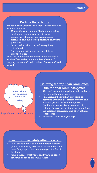#### Reduce Uncertainty

We don't know what will be asked – concentrate on what we do know

- Where it is, what time etc. Reduce uncertainty by planning around what we do know
- Means you will enter your exam calmly, organised and in a better position to answer the questions
- Have breakfast/lunch pack everything beforehand
- Plan how you will spend the day if it's an afternoon exam

All of this will reduce unknowns which will lower levels of fear and give you the best chance of keeping the rational brain online. It's easy stuff to do as well.



https://vimeo.com/219870603

#### Calming the reptilian brain once the rational brain has gone!

- We need to calm the reptilian brain and give the rational brain space...
- REMEMBER: the reptilian part brain is activated when we get stressed/worry and wants to get rid of the threat quickly (avoidance comfort behaviours etc.) by calming this part of our brain we can reduce the avoiding behaviours and allow rational to take over
- Attentional focus & Physiology

#### Plan for immediately after the exam

- Don't spent the rest of the day on post-mortem (don't be analysing how the exam went!!) - it will mess things up for the next one/spoil the fun of finishing
- Make a plan of what you'll do, if you'll go off on your own of spend time with others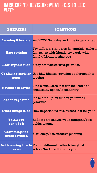## BARRIERS TO REVISION: WHAT GETS IN THE WAY?

| <b>BARRIERS</b>                      | <b>SOLUTIONS</b>                                                                                                         |
|--------------------------------------|--------------------------------------------------------------------------------------------------------------------------|
|                                      | <b>Leaving it too late</b> Act NOW! Set a day and time to get started                                                    |
| <b>Hate revising</b>                 | Try different strategies & materials, make it<br>fun, revise with friends, try a quiz with<br>family/friends testing you |
|                                      | <b>Poor organization Study timetables/lists, prioritise</b>                                                              |
| notes                                | <b>Confusing revision Use BBC Bitesize/revision books/speak to</b><br>teacher                                            |
| <b>Nowhere to revise</b>             | Find a small area that can be used as a<br>small study space/local library                                               |
| <b>Not enough time</b>               | Make time – plan time in your week,<br>prioritise                                                                        |
|                                      | Other things to do How important is this? What's in it for you?                                                          |
| Think you<br>can't do it             | Reflect on positives/your strengths/past<br>achievements                                                                 |
| <b>Cramming/too</b><br>much revision | Start early/use effective planning                                                                                       |
| revise                               | <b>Not knowing how to Try out different methods taught at</b><br>school/find one that suits you                          |

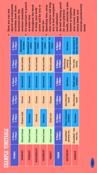# **XAMPLE TIMETABLE** EXAMPLE TIMETABLE

▪

| 8.00pm-<br>9.00 <sub>pm</sub> | Homework/<br>revision | Homework/re  | vision | Homework/re<br>vision | re<br>Homework/<br>vision | Homework/re<br>vision | 5.00pm-<br>6.00pm      | Revision                             |
|-------------------------------|-----------------------|--------------|--------|-----------------------|---------------------------|-----------------------|------------------------|--------------------------------------|
| 7.45pm -<br>8.00pm            | Social media          | Social media |        | Social media          | Social media              | Social media          | 3.00pm-<br>5.00pm      | sport/gaming<br>Watching/<br>playing |
| 6.45pm -<br>7.45pm            | Homework              | Homework     |        | Homework              | Homework                  | Homework              | 1.00pm-<br>3.00pm      | Revision                             |
| 6.00pm -<br>6.45pm            | Dinner                | Dinner       |        | Dinner                | Dinner                    | Dinner                | 11.00am -<br>1.00pm    | See friends/<br>lunch                |
| 4.00pm-<br>6.00pm             | Drama club            | Revision     |        | Netball               | Revision                  | Chill out!            | 10.00am-<br>11.00am    | Hour of power<br>revision            |
| 8.00 am -<br>4.00pm           | <b>School times</b>   | School times |        | <b>School times</b>   | School times              | <b>School times</b>   | $9.00$ am -<br>10.00am | shower etc.<br>Breakfast/            |
| <b>TIMIES</b>                 | <b>MONDAY</b>         | TUESDAY      |        | WEDNESDAY             | THURSDAY                  | FRIDAY                | TIMES                  | SATURDAY                             |

- It's important to pencil from revision will help t's important to pencil from revision will help<br>you to feel energised sports and enjoyable sports and enjoyable throughout the week active and for you to active and for you to have fun<br>Spending time away Spending time away hroughout the week activities have been activities have been to keep your body to keep your body factored into this<br>revision timetable Here you can see revision timetable Here you can see factored into this n some time in some time
- and refreshed<br>As well as being good<br>for your physical<br>health, exercise is also health, exercise is also As well as being good you to feel energised increase productivity increase productivity known to brighten known to brighten your mood, lower your mood, lower for your physical stress levels and stress levels and

levels

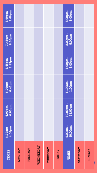| <b>TIMES</b>    | 8.00am-<br>4.00pm  | 4.00pm -<br>6.00pm  | 6.00 <sub>pm</sub><br>6.45pm | 6.45pm -<br>7.45pm | 7.45pm-<br>8.00pm | 8.00pm -<br>9.00pm |
|-----------------|--------------------|---------------------|------------------------------|--------------------|-------------------|--------------------|
| <b>MONDAY</b>   |                    |                     |                              |                    |                   |                    |
| TUESDAY         |                    |                     |                              |                    |                   |                    |
| WEDNESDAY       |                    |                     |                              |                    |                   |                    |
| THURSDAY        |                    |                     |                              |                    |                   |                    |
| FRIDAY          |                    |                     |                              |                    |                   |                    |
| <b>TIMES</b>    | 10.00am<br>9.00am- | 10.00am-<br>11.00am | 11.00am-<br>1.00pm           | 1.00pm-<br>3.00pm  | 3.00pm-<br>5.00pm | 5.00pm -<br>6.00pm |
| <b>SATURDAY</b> |                    |                     |                              |                    |                   |                    |
| <b>SUNDAY</b>   |                    |                     |                              |                    |                   |                    |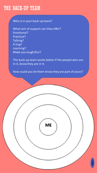## THE BACK-UP TEAM

#### Who is in your back-up team?

What sort of support can they offer? Emotional? Practical? Talking? A hug? Learning? Make you laugh/fun?

The back-up team works better if the people who are in it, know they are in it.

How could you let them know they are part of yours?

ME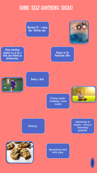# SOME SELF-SOOTHING IDEAS!

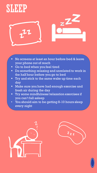# SLEEP



- No screens at least an hour before bed & leave your phone out of reach
- Go to bed when you feel tired
- **Do something relaxing and unrelated to work in** the half hour before you go to bed
- **Try and stick to the same wake up time each** day
- **I** Make sure you have had enough exercise and fresh air during the day
- Try some mindfulness/relaxation exercises if you can't fall asleep
- You should aim to be getting 8-10 hours sleep every night